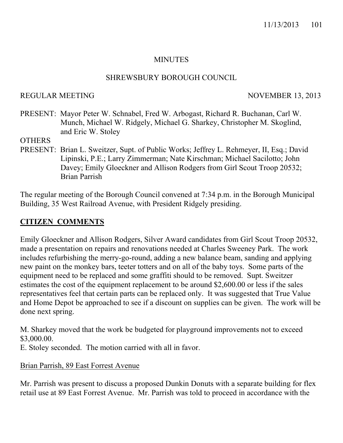## **MINUTES**

## SHREWSBURY BOROUGH COUNCIL

#### REGULAR MEETING NOVEMBER 13, 2013

PRESENT: Mayor Peter W. Schnabel, Fred W. Arbogast, Richard R. Buchanan, Carl W. Munch, Michael W. Ridgely, Michael G. Sharkey, Christopher M. Skoglind, and Eric W. Stoley

#### **OTHERS**

PRESENT: Brian L. Sweitzer, Supt. of Public Works; Jeffrey L. Rehmeyer, II, Esq.; David Lipinski, P.E.; Larry Zimmerman; Nate Kirschman; Michael Sacilotto; John Davey; Emily Gloeckner and Allison Rodgers from Girl Scout Troop 20532; Brian Parrish

The regular meeting of the Borough Council convened at 7:34 p.m. in the Borough Municipal Building, 35 West Railroad Avenue, with President Ridgely presiding.

## **CITIZEN COMMENTS**

Emily Gloeckner and Allison Rodgers, Silver Award candidates from Girl Scout Troop 20532, made a presentation on repairs and renovations needed at Charles Sweeney Park. The work includes refurbishing the merry-go-round, adding a new balance beam, sanding and applying new paint on the monkey bars, teeter totters and on all of the baby toys. Some parts of the equipment need to be replaced and some graffiti should to be removed. Supt. Sweitzer estimates the cost of the equipment replacement to be around \$2,600.00 or less if the sales representatives feel that certain parts can be replaced only. It was suggested that True Value and Home Depot be approached to see if a discount on supplies can be given. The work will be done next spring.

M. Sharkey moved that the work be budgeted for playground improvements not to exceed \$3,000.00.

E. Stoley seconded. The motion carried with all in favor.

Brian Parrish, 89 East Forrest Avenue

Mr. Parrish was present to discuss a proposed Dunkin Donuts with a separate building for flex retail use at 89 East Forrest Avenue. Mr. Parrish was told to proceed in accordance with the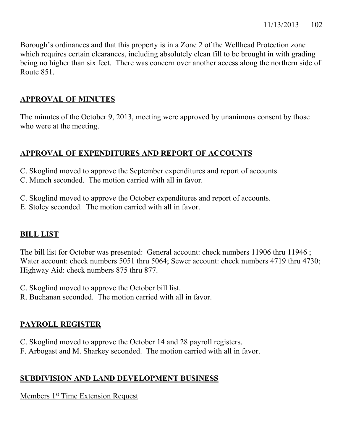Borough's ordinances and that this property is in a Zone 2 of the Wellhead Protection zone which requires certain clearances, including absolutely clean fill to be brought in with grading being no higher than six feet. There was concern over another access along the northern side of Route 851.

# **APPROVAL OF MINUTES**

The minutes of the October 9, 2013, meeting were approved by unanimous consent by those who were at the meeting.

# **APPROVAL OF EXPENDITURES AND REPORT OF ACCOUNTS**

- C. Skoglind moved to approve the September expenditures and report of accounts.
- C. Munch seconded. The motion carried with all in favor.
- C. Skoglind moved to approve the October expenditures and report of accounts.
- E. Stoley seconded. The motion carried with all in favor.

# **BILL LIST**

The bill list for October was presented: General account: check numbers 11906 thru 11946 ; Water account: check numbers 5051 thru 5064; Sewer account: check numbers 4719 thru 4730; Highway Aid: check numbers 875 thru 877.

- C. Skoglind moved to approve the October bill list.
- R. Buchanan seconded. The motion carried with all in favor.

# **PAYROLL REGISTER**

- C. Skoglind moved to approve the October 14 and 28 payroll registers.
- F. Arbogast and M. Sharkey seconded. The motion carried with all in favor.

# **SUBDIVISION AND LAND DEVELOPMENT BUSINESS**

Members 1<sup>st</sup> Time Extension Request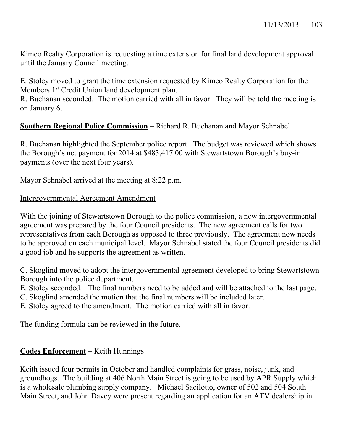Kimco Realty Corporation is requesting a time extension for final land development approval until the January Council meeting.

E. Stoley moved to grant the time extension requested by Kimco Realty Corporation for the Members 1<sup>st</sup> Credit Union land development plan.

R. Buchanan seconded. The motion carried with all in favor. They will be told the meeting is on January 6.

# **Southern Regional Police Commission** – Richard R. Buchanan and Mayor Schnabel

R. Buchanan highlighted the September police report. The budget was reviewed which shows the Borough's net payment for 2014 at \$483,417.00 with Stewartstown Borough's buy-in payments (over the next four years).

Mayor Schnabel arrived at the meeting at 8:22 p.m.

## Intergovernmental Agreement Amendment

With the joining of Stewartstown Borough to the police commission, a new intergovernmental agreement was prepared by the four Council presidents. The new agreement calls for two representatives from each Borough as opposed to three previously. The agreement now needs to be approved on each municipal level. Mayor Schnabel stated the four Council presidents did a good job and he supports the agreement as written.

C. Skoglind moved to adopt the intergovernmental agreement developed to bring Stewartstown Borough into the police department.

E. Stoley seconded. The final numbers need to be added and will be attached to the last page.

C. Skoglind amended the motion that the final numbers will be included later.

E. Stoley agreed to the amendment. The motion carried with all in favor.

The funding formula can be reviewed in the future.

# **Codes Enforcement** – Keith Hunnings

Keith issued four permits in October and handled complaints for grass, noise, junk, and groundhogs. The building at 406 North Main Street is going to be used by APR Supply which is a wholesale plumbing supply company. Michael Sacilotto, owner of 502 and 504 South Main Street, and John Davey were present regarding an application for an ATV dealership in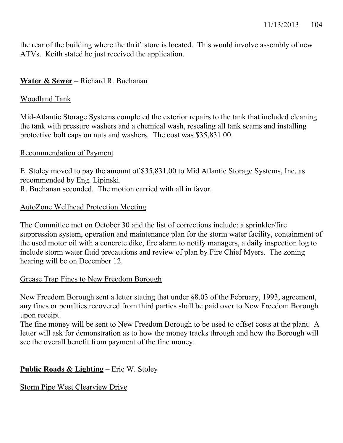the rear of the building where the thrift store is located. This would involve assembly of new ATVs. Keith stated he just received the application.

## **Water & Sewer** – Richard R. Buchanan

## Woodland Tank

Mid-Atlantic Storage Systems completed the exterior repairs to the tank that included cleaning the tank with pressure washers and a chemical wash, resealing all tank seams and installing protective bolt caps on nuts and washers. The cost was \$35,831.00.

## Recommendation of Payment

E. Stoley moved to pay the amount of \$35,831.00 to Mid Atlantic Storage Systems, Inc. as recommended by Eng. Lipinski.

R. Buchanan seconded. The motion carried with all in favor.

## AutoZone Wellhead Protection Meeting

The Committee met on October 30 and the list of corrections include: a sprinkler/fire suppression system, operation and maintenance plan for the storm water facility, containment of the used motor oil with a concrete dike, fire alarm to notify managers, a daily inspection log to include storm water fluid precautions and review of plan by Fire Chief Myers. The zoning hearing will be on December 12.

## Grease Trap Fines to New Freedom Borough

New Freedom Borough sent a letter stating that under §8.03 of the February, 1993, agreement, any fines or penalties recovered from third parties shall be paid over to New Freedom Borough upon receipt.

The fine money will be sent to New Freedom Borough to be used to offset costs at the plant. A letter will ask for demonstration as to how the money tracks through and how the Borough will see the overall benefit from payment of the fine money.

## **Public Roads & Lighting** – Eric W. Stoley

Storm Pipe West Clearview Drive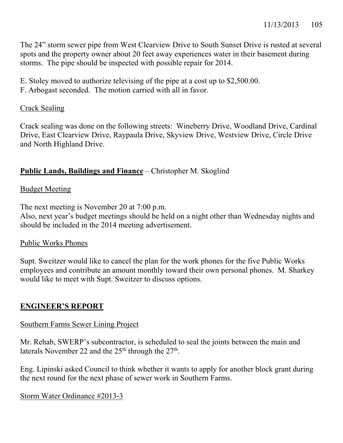The 24" storm sewer pipe from West Clearview Drive to South Sunset Drive is rusted at several spots and the property owner about 20 feet away experiences water in their basement during storms. The pipe should be inspected with possible repair for 2014.

- E. Stoley moved to authorize televising of the pipe at a cost up to \$2,500.00.
- F. Arbogast seconded. The motion carried with all in favor.

# Crack Sealing

Crack sealing was done on the following streets: Wineberry Drive, Woodland Drive, Cardinal Drive, East Clearview Drive, Raypaula Drive, Skyview Drive, Westview Drive, Circle Drive and North Highland Drive.

# **Public Lands, Buildings and Finance** – Christopher M. Skoglind

# Budget Meeting

The next meeting is November 20 at 7:00 p.m.

Also, next year's budget meetings should be held on a night other than Wednesday nights and should be included in the 2014 meeting advertisement.

# Public Works Phones

Supt. Sweitzer would like to cancel the plan for the work phones for the five Public Works employees and contribute an amount monthly toward their own personal phones. M. Sharkey would like to meet with Supt. Sweitzer to discuss options.

# **ENGINEER'S REPORT**

# Southern Farms Sewer Lining Project

Mr. Rehab, SWERP's subcontractor, is scheduled to seal the joints between the main and laterals November 22 and the  $25<sup>th</sup>$  through the  $27<sup>th</sup>$ .

Eng. Lipinski asked Council to think whether it wants to apply for another block grant during the next round for the next phase of sewer work in Southern Farms.

Storm Water Ordinance #2013-3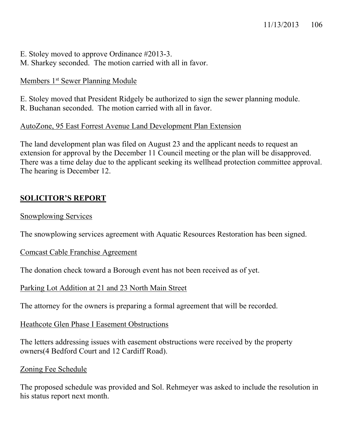E. Stoley moved to approve Ordinance #2013-3. M. Sharkey seconded. The motion carried with all in favor.

## Members 1<sup>st</sup> Sewer Planning Module

E. Stoley moved that President Ridgely be authorized to sign the sewer planning module.

R. Buchanan seconded. The motion carried with all in favor.

## AutoZone, 95 East Forrest Avenue Land Development Plan Extension

The land development plan was filed on August 23 and the applicant needs to request an extension for approval by the December 11 Council meeting or the plan will be disapproved. There was a time delay due to the applicant seeking its wellhead protection committee approval. The hearing is December 12.

# **SOLICITOR'S REPORT**

## Snowplowing Services

The snowplowing services agreement with Aquatic Resources Restoration has been signed.

## Comcast Cable Franchise Agreement

The donation check toward a Borough event has not been received as of yet.

## Parking Lot Addition at 21 and 23 North Main Street

The attorney for the owners is preparing a formal agreement that will be recorded.

## Heathcote Glen Phase I Easement Obstructions

The letters addressing issues with easement obstructions were received by the property owners(4 Bedford Court and 12 Cardiff Road).

## Zoning Fee Schedule

The proposed schedule was provided and Sol. Rehmeyer was asked to include the resolution in his status report next month.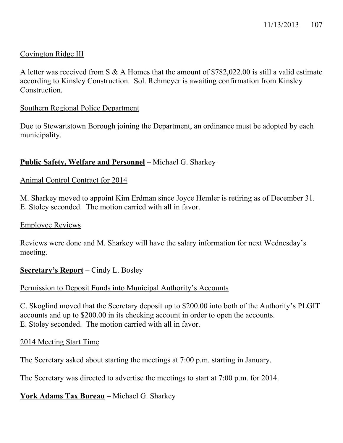## Covington Ridge III

A letter was received from S & A Homes that the amount of \$782,022.00 is still a valid estimate according to Kinsley Construction. Sol. Rehmeyer is awaiting confirmation from Kinsley Construction.

#### Southern Regional Police Department

Due to Stewartstown Borough joining the Department, an ordinance must be adopted by each municipality.

## **Public Safety, Welfare and Personnel** – Michael G. Sharkey

## Animal Control Contract for 2014

M. Sharkey moved to appoint Kim Erdman since Joyce Hemler is retiring as of December 31. E. Stoley seconded. The motion carried with all in favor.

#### Employee Reviews

Reviews were done and M. Sharkey will have the salary information for next Wednesday's meeting.

## **Secretary's Report** – Cindy L. Bosley

## Permission to Deposit Funds into Municipal Authority's Accounts

C. Skoglind moved that the Secretary deposit up to \$200.00 into both of the Authority's PLGIT accounts and up to \$200.00 in its checking account in order to open the accounts. E. Stoley seconded. The motion carried with all in favor.

## 2014 Meeting Start Time

The Secretary asked about starting the meetings at 7:00 p.m. starting in January.

The Secretary was directed to advertise the meetings to start at 7:00 p.m. for 2014.

## **York Adams Tax Bureau** – Michael G. Sharkey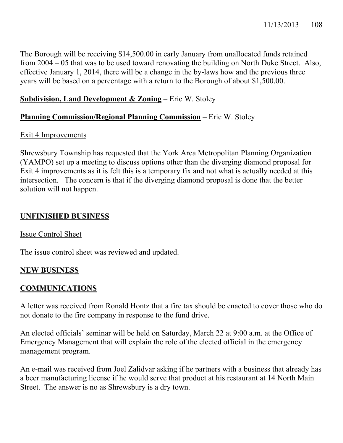The Borough will be receiving \$14,500.00 in early January from unallocated funds retained from 2004 – 05 that was to be used toward renovating the building on North Duke Street. Also, effective January 1, 2014, there will be a change in the by-laws how and the previous three years will be based on a percentage with a return to the Borough of about \$1,500.00.

## **Subdivision, Land Development & Zoning** – Eric W. Stoley

## **Planning Commission/Regional Planning Commission** – Eric W. Stoley

## Exit 4 Improvements

Shrewsbury Township has requested that the York Area Metropolitan Planning Organization (YAMPO) set up a meeting to discuss options other than the diverging diamond proposal for Exit 4 improvements as it is felt this is a temporary fix and not what is actually needed at this intersection. The concern is that if the diverging diamond proposal is done that the better solution will not happen.

## **UNFINISHED BUSINESS**

## Issue Control Sheet

The issue control sheet was reviewed and updated.

## **NEW BUSINESS**

## **COMMUNICATIONS**

A letter was received from Ronald Hontz that a fire tax should be enacted to cover those who do not donate to the fire company in response to the fund drive.

An elected officials' seminar will be held on Saturday, March 22 at 9:00 a.m. at the Office of Emergency Management that will explain the role of the elected official in the emergency management program.

An e-mail was received from Joel Zalidvar asking if he partners with a business that already has a beer manufacturing license if he would serve that product at his restaurant at 14 North Main Street. The answer is no as Shrewsbury is a dry town.